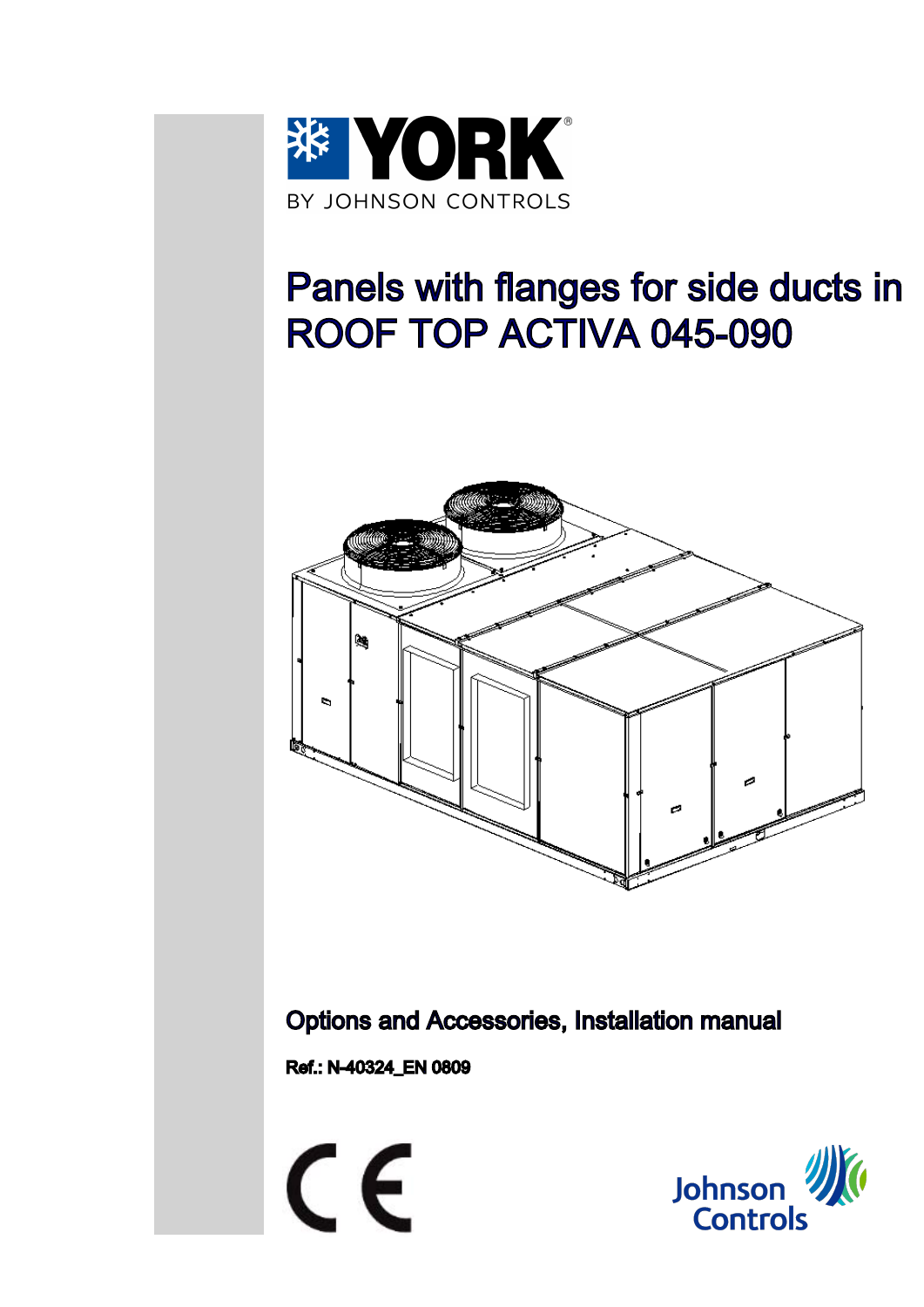

# Panels with flanges for side ducts in ROOF TOP ACTIVA 045-090



Options and Accessories, Installation manual

Ref.: N-40324\_EN 0809



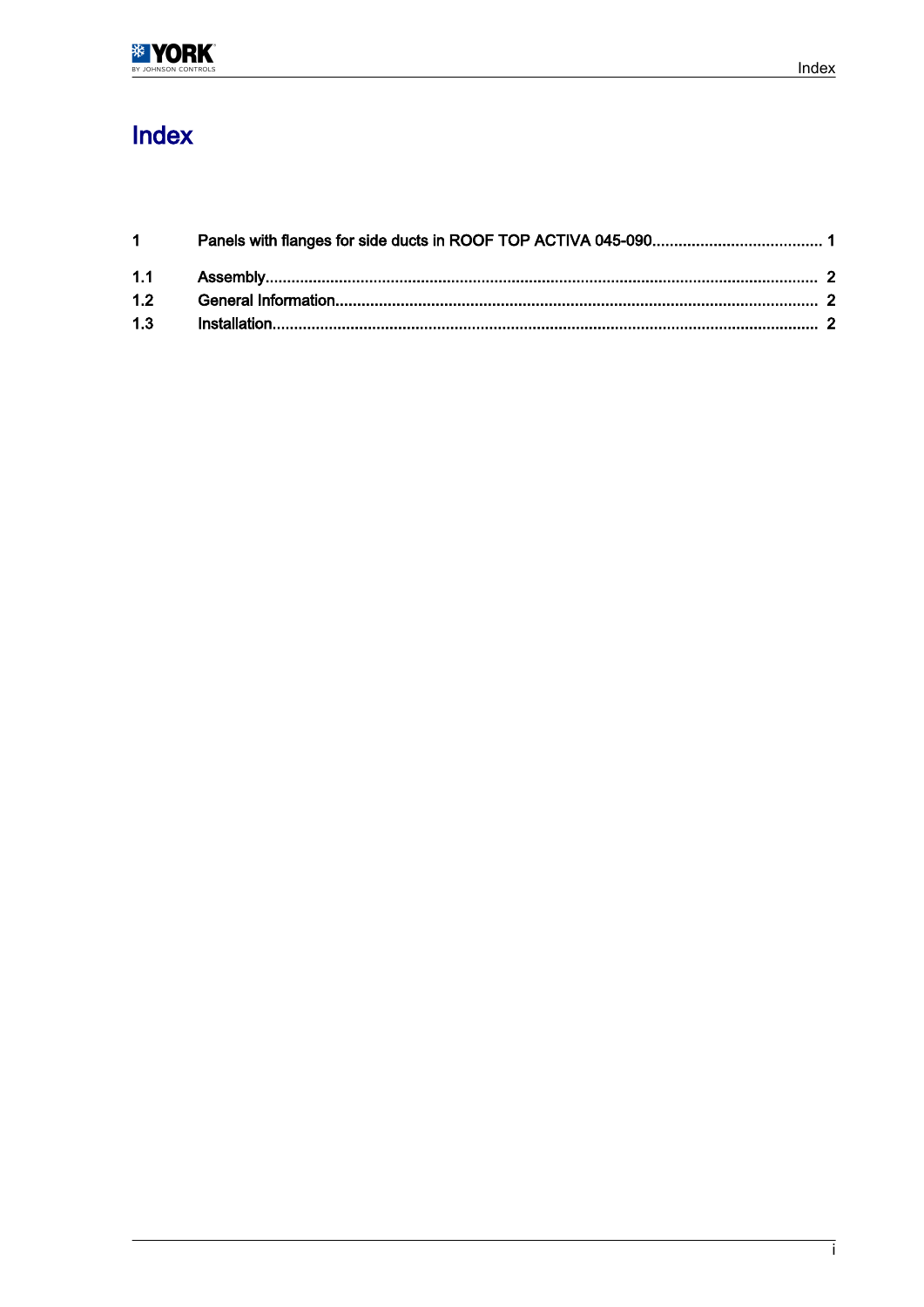## Index

| $1 \quad \Box$ |  |
|----------------|--|
|                |  |
|                |  |
| 1.3            |  |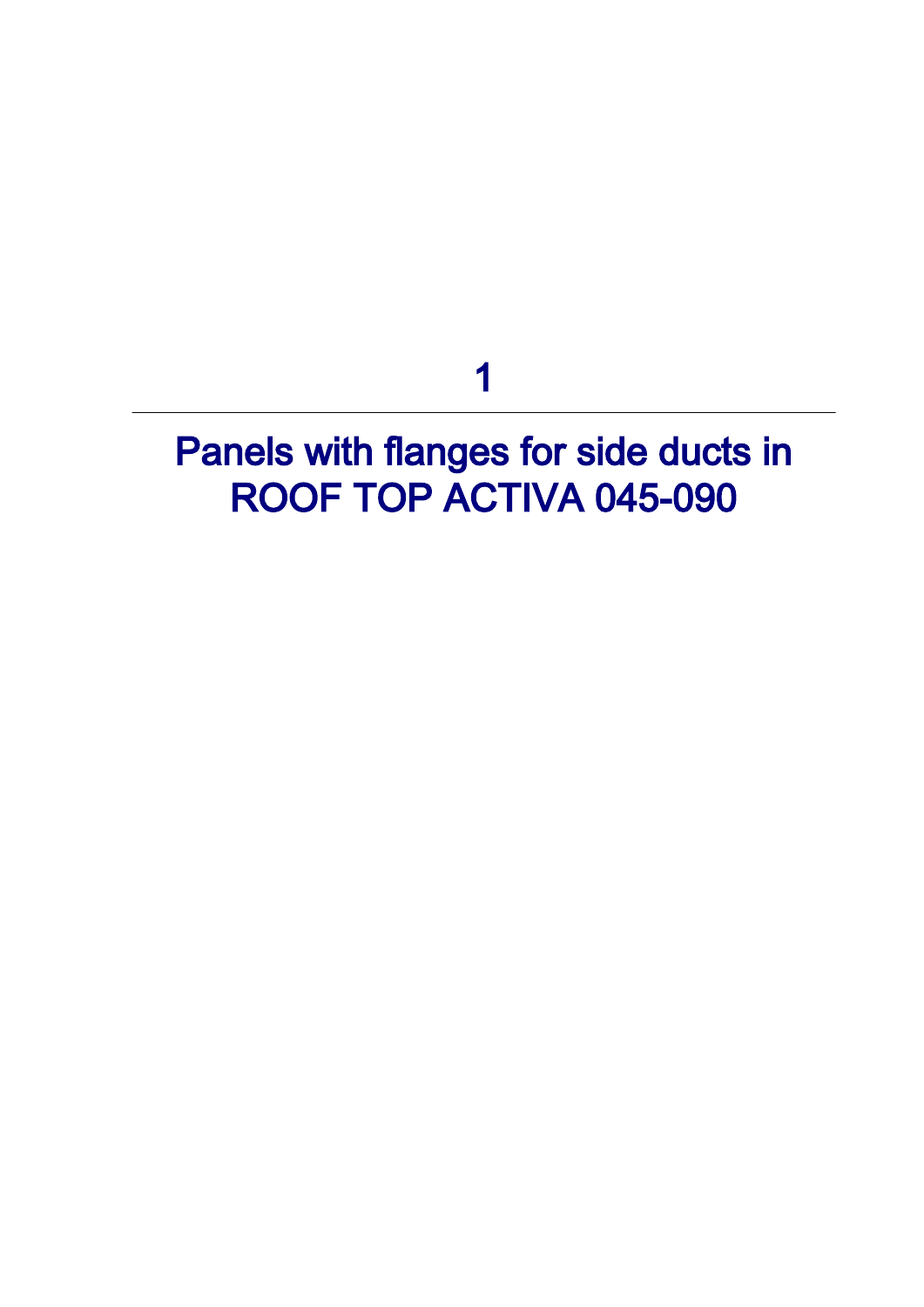1

# <span id="page-2-0"></span>Panels with flanges for side ducts in ROOF TOP ACTIVA 045-090